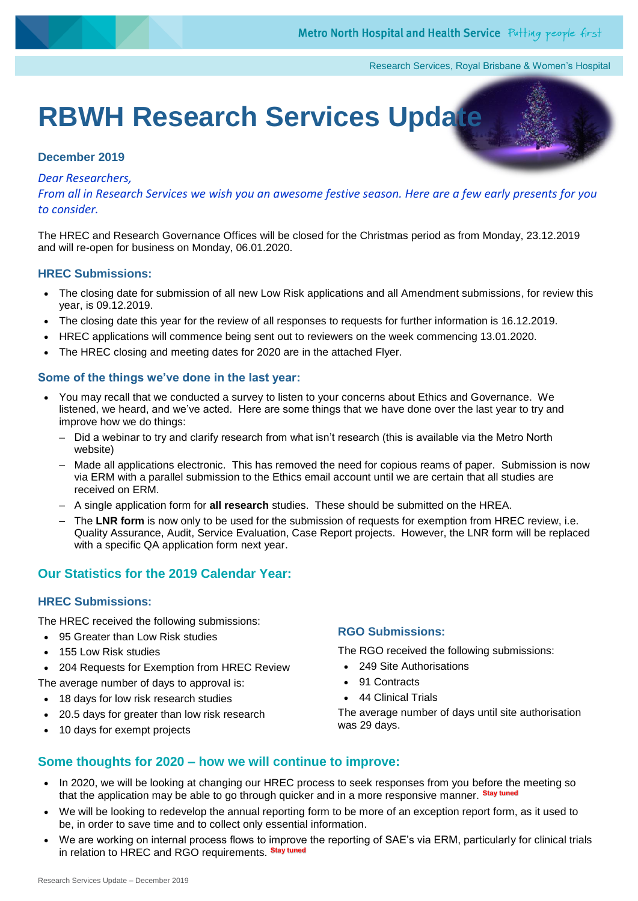Research Services, Royal Brisbane & Women's Hospital

# **RBWH Research Services Update**

### **December 2019**

#### *Dear Researchers,*

*From all in Research Services we wish you an awesome festive season. Here are [a few earl](http://grikdog.blogspot.com/2010_12_01_archive.html)y [present](https://creativecommons.org/licenses/by/3.0/)s for you to consider.*

The HREC and Research Governance Offices will be closed for the Christmas period as from Monday, 23.12.2019 and will re-open for business on Monday, 06.01.2020.

#### **HREC Submissions:**

- The closing date for submission of all new Low Risk applications and all Amendment submissions, for review this year, is 09.12.2019.
- The closing date this year for the review of all responses to requests for further information is 16.12.2019.
- HREC applications will commence being sent out to reviewers on the week commencing 13.01.2020.
- The HREC closing and meeting dates for 2020 are in the attached Flyer.

#### **Some of the things we've done in the last year:**

- You may recall that we conducted a survey to listen to your concerns about Ethics and Governance. We listened, we heard, and we've acted. Here are some things that we have done over the last year to try and improve how we do things:
	- Did a webinar to try and clarify research from what isn't research (this is available via the Metro North website)
	- Made all applications electronic. This has removed the need for copious reams of paper. Submission is now via ERM with a parallel submission to the Ethics email account until we are certain that all studies are received on ERM.
	- A single application form for **all research** studies. These should be submitted on the HREA.
	- The **LNR form** is now only to be used for the submission of requests for exemption from HREC review, i.e. Quality Assurance, Audit, Service Evaluation, Case Report projects. However, the LNR form will be replaced with a specific QA application form next year.

# **Our Statistics for the 2019 Calendar Year:**

## **HREC Submissions:**

The HREC received the following submissions:

- 95 Greater than Low Risk studies
- 155 Low Risk studies
- 204 Requests for Exemption from HREC Review

The average number of days to approval is:

- 18 days for low risk research studies
- 20.5 days for greater than low risk research
- 10 days for exempt projects

#### **RGO Submissions:**

The RGO received the following submissions:

- 249 Site Authorisations
- 91 Contracts
- 44 Clinical Trials

The average number of days until site authorisation was 29 days.

## **Some thoughts for 2020 – how we will continue to improve:**

- In 2020, we will be looking at changing our HREC process to seek responses from you before the meeting so that the application may be able to go through quicker and in a more responsive manner. **Stay tuned**
- We will be looking to redevelop the annual reporting form to be more of an exception report form, as it used to be, in order to save time and to collect only essential information.
- We are working on internal process flows to improve the reporting of SAE's via ERM, particularly for clinical trials in relation to HREC and RGO requirements. **Stay tuned**